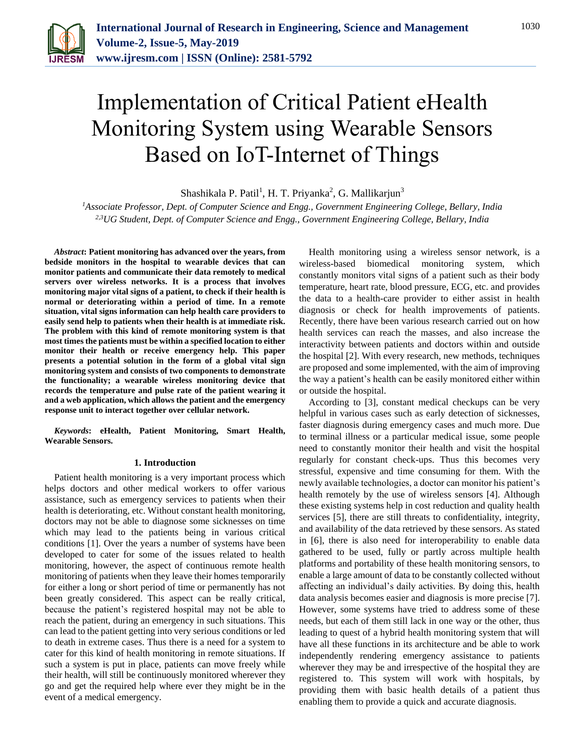

# Implementation of Critical Patient eHealth Monitoring System using Wearable Sensors Based on IoT-Internet of Things

Shashikala P. Patil<sup>1</sup>, H. T. Priyanka<sup>2</sup>, G. Mallikarjun<sup>3</sup>

*<sup>1</sup>Associate Professor, Dept. of Computer Science and Engg., Government Engineering College, Bellary, India 2,3UG Student, Dept. of Computer Science and Engg., Government Engineering College, Bellary, India*

*Abstract***: Patient monitoring has advanced over the years, from bedside monitors in the hospital to wearable devices that can monitor patients and communicate their data remotely to medical servers over wireless networks. It is a process that involves monitoring major vital signs of a patient, to check if their health is normal or deteriorating within a period of time. In a remote situation, vital signs information can help health care providers to easily send help to patients when their health is at immediate risk. The problem with this kind of remote monitoring system is that most times the patients must be within a specified location to either monitor their health or receive emergency help. This paper presents a potential solution in the form of a global vital sign monitoring system and consists of two components to demonstrate the functionality; a wearable wireless monitoring device that records the temperature and pulse rate of the patient wearing it and a web application, which allows the patient and the emergency response unit to interact together over cellular network.**

*Keywords***: eHealth, Patient Monitoring, Smart Health, Wearable Sensors.**

#### **1. Introduction**

Patient health monitoring is a very important process which helps doctors and other medical workers to offer various assistance, such as emergency services to patients when their health is deteriorating, etc. Without constant health monitoring, doctors may not be able to diagnose some sicknesses on time which may lead to the patients being in various critical conditions [1]. Over the years a number of systems have been developed to cater for some of the issues related to health monitoring, however, the aspect of continuous remote health monitoring of patients when they leave their homes temporarily for either a long or short period of time or permanently has not been greatly considered. This aspect can be really critical, because the patient's registered hospital may not be able to reach the patient, during an emergency in such situations. This can lead to the patient getting into very serious conditions or led to death in extreme cases. Thus there is a need for a system to cater for this kind of health monitoring in remote situations. If such a system is put in place, patients can move freely while their health, will still be continuously monitored wherever they go and get the required help where ever they might be in the event of a medical emergency.

Health monitoring using a wireless sensor network, is a wireless-based biomedical monitoring system, which constantly monitors vital signs of a patient such as their body temperature, heart rate, blood pressure, ECG, etc. and provides the data to a health-care provider to either assist in health diagnosis or check for health improvements of patients. Recently, there have been various research carried out on how health services can reach the masses, and also increase the interactivity between patients and doctors within and outside the hospital [2]. With every research, new methods, techniques are proposed and some implemented, with the aim of improving the way a patient's health can be easily monitored either within or outside the hospital.

According to [3], constant medical checkups can be very helpful in various cases such as early detection of sicknesses, faster diagnosis during emergency cases and much more. Due to terminal illness or a particular medical issue, some people need to constantly monitor their health and visit the hospital regularly for constant check-ups. Thus this becomes very stressful, expensive and time consuming for them. With the newly available technologies, a doctor can monitor his patient's health remotely by the use of wireless sensors [4]. Although these existing systems help in cost reduction and quality health services [5], there are still threats to confidentiality, integrity, and availability of the data retrieved by these sensors. As stated in [6], there is also need for interoperability to enable data gathered to be used, fully or partly across multiple health platforms and portability of these health monitoring sensors, to enable a large amount of data to be constantly collected without affecting an individual's daily activities. By doing this, health data analysis becomes easier and diagnosis is more precise [7]. However, some systems have tried to address some of these needs, but each of them still lack in one way or the other, thus leading to quest of a hybrid health monitoring system that will have all these functions in its architecture and be able to work independently rendering emergency assistance to patients wherever they may be and irrespective of the hospital they are registered to. This system will work with hospitals, by providing them with basic health details of a patient thus enabling them to provide a quick and accurate diagnosis.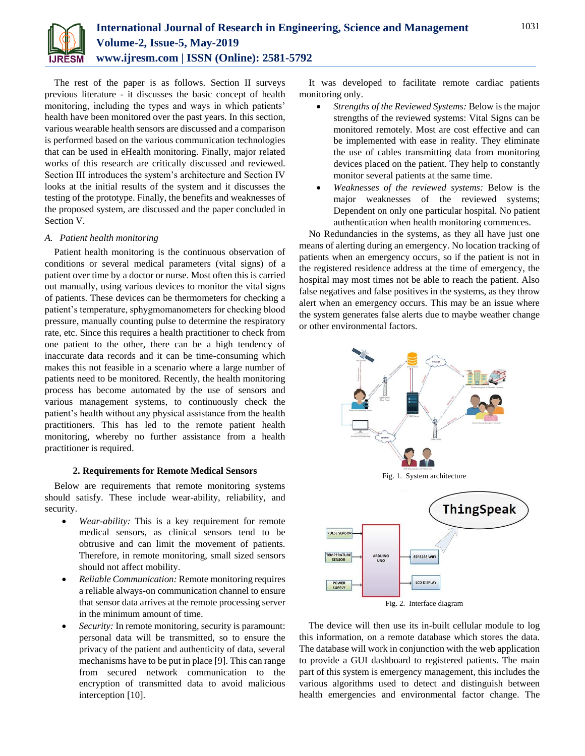

The rest of the paper is as follows. Section II surveys previous literature - it discusses the basic concept of health monitoring, including the types and ways in which patients' health have been monitored over the past years. In this section, various wearable health sensors are discussed and a comparison is performed based on the various communication technologies that can be used in eHealth monitoring. Finally, major related works of this research are critically discussed and reviewed. Section III introduces the system's architecture and Section IV looks at the initial results of the system and it discusses the testing of the prototype. Finally, the benefits and weaknesses of the proposed system, are discussed and the paper concluded in Section V.

## *A. Patient health monitoring*

Patient health monitoring is the continuous observation of conditions or several medical parameters (vital signs) of a patient over time by a doctor or nurse. Most often this is carried out manually, using various devices to monitor the vital signs of patients. These devices can be thermometers for checking a patient's temperature, sphygmomanometers for checking blood pressure, manually counting pulse to determine the respiratory rate, etc. Since this requires a health practitioner to check from one patient to the other, there can be a high tendency of inaccurate data records and it can be time-consuming which makes this not feasible in a scenario where a large number of patients need to be monitored. Recently, the health monitoring process has become automated by the use of sensors and various management systems, to continuously check the patient's health without any physical assistance from the health practitioners. This has led to the remote patient health monitoring, whereby no further assistance from a health practitioner is required.

### **2. Requirements for Remote Medical Sensors**

Below are requirements that remote monitoring systems should satisfy. These include wear-ability, reliability, and security.

- *Wear-ability:* This is a key requirement for remote medical sensors, as clinical sensors tend to be obtrusive and can limit the movement of patients. Therefore, in remote monitoring, small sized sensors should not affect mobility.
- *Reliable Communication:* Remote monitoring requires a reliable always-on communication channel to ensure that sensor data arrives at the remote processing server in the minimum amount of time.
- *Security:* In remote monitoring, security is paramount: personal data will be transmitted, so to ensure the privacy of the patient and authenticity of data, several mechanisms have to be put in place [9]. This can range from secured network communication to the encryption of transmitted data to avoid malicious interception [10].

It was developed to facilitate remote cardiac patients monitoring only.

- *Strengths of the Reviewed Systems:* Below is the major strengths of the reviewed systems: Vital Signs can be monitored remotely. Most are cost effective and can be implemented with ease in reality. They eliminate the use of cables transmitting data from monitoring devices placed on the patient. They help to constantly monitor several patients at the same time.
- *Weaknesses of the reviewed systems:* Below is the major weaknesses of the reviewed systems; Dependent on only one particular hospital. No patient authentication when health monitoring commences.

No Redundancies in the systems, as they all have just one means of alerting during an emergency. No location tracking of patients when an emergency occurs, so if the patient is not in the registered residence address at the time of emergency, the hospital may most times not be able to reach the patient. Also false negatives and false positives in the systems, as they throw alert when an emergency occurs. This may be an issue where the system generates false alerts due to maybe weather change or other environmental factors.



The device will then use its in-built cellular module to log this information, on a remote database which stores the data. The database will work in conjunction with the web application to provide a GUI dashboard to registered patients. The main part of this system is emergency management, this includes the various algorithms used to detect and distinguish between health emergencies and environmental factor change. The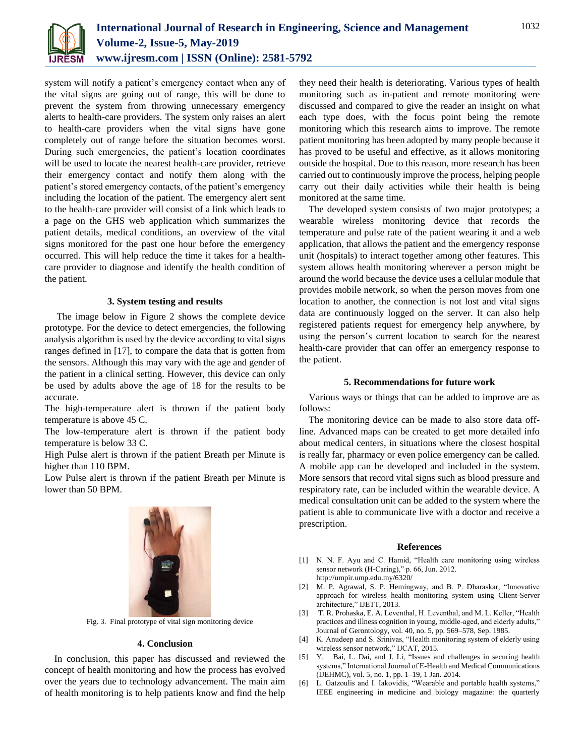

system will notify a patient's emergency contact when any of the vital signs are going out of range, this will be done to prevent the system from throwing unnecessary emergency alerts to health-care providers. The system only raises an alert to health-care providers when the vital signs have gone completely out of range before the situation becomes worst. During such emergencies, the patient's location coordinates will be used to locate the nearest health-care provider, retrieve their emergency contact and notify them along with the patient's stored emergency contacts, of the patient's emergency including the location of the patient. The emergency alert sent to the health-care provider will consist of a link which leads to a page on the GHS web application which summarizes the patient details, medical conditions, an overview of the vital signs monitored for the past one hour before the emergency occurred. This will help reduce the time it takes for a healthcare provider to diagnose and identify the health condition of the patient.

#### **3. System testing and results**

The image below in Figure 2 shows the complete device prototype. For the device to detect emergencies, the following analysis algorithm is used by the device according to vital signs ranges defined in [17], to compare the data that is gotten from the sensors. Although this may vary with the age and gender of the patient in a clinical setting. However, this device can only be used by adults above the age of 18 for the results to be accurate.

The high-temperature alert is thrown if the patient body temperature is above 45 C.

The low-temperature alert is thrown if the patient body temperature is below 33 C.

High Pulse alert is thrown if the patient Breath per Minute is higher than 110 BPM.

Low Pulse alert is thrown if the patient Breath per Minute is lower than 50 BPM.



Fig. 3. Final prototype of vital sign monitoring device

#### **4. Conclusion**

In conclusion, this paper has discussed and reviewed the concept of health monitoring and how the process has evolved over the years due to technology advancement. The main aim of health monitoring is to help patients know and find the help

they need their health is deteriorating. Various types of health monitoring such as in-patient and remote monitoring were discussed and compared to give the reader an insight on what each type does, with the focus point being the remote monitoring which this research aims to improve. The remote patient monitoring has been adopted by many people because it has proved to be useful and effective, as it allows monitoring outside the hospital. Due to this reason, more research has been carried out to continuously improve the process, helping people carry out their daily activities while their health is being monitored at the same time.

The developed system consists of two major prototypes; a wearable wireless monitoring device that records the temperature and pulse rate of the patient wearing it and a web application, that allows the patient and the emergency response unit (hospitals) to interact together among other features. This system allows health monitoring wherever a person might be around the world because the device uses a cellular module that provides mobile network, so when the person moves from one location to another, the connection is not lost and vital signs data are continuously logged on the server. It can also help registered patients request for emergency help anywhere, by using the person's current location to search for the nearest health-care provider that can offer an emergency response to the patient.

#### **5. Recommendations for future work**

Various ways or things that can be added to improve are as follows:

The monitoring device can be made to also store data offline. Advanced maps can be created to get more detailed info about medical centers, in situations where the closest hospital is really far, pharmacy or even police emergency can be called. A mobile app can be developed and included in the system. More sensors that record vital signs such as blood pressure and respiratory rate, can be included within the wearable device. A medical consultation unit can be added to the system where the patient is able to communicate live with a doctor and receive a prescription.

#### **References**

- [1] N. N. F. Ayu and C. Hamid, "Health care monitoring using wireless sensor network (H-Caring)," p. 66, Jun. 2012. http://umpir.ump.edu.my/6320/
- [2] M. P. Agrawal, S. P. Hemingway, and B. P. Dharaskar, "Innovative approach for wireless health monitoring system using Client-Server architecture," IJETT, 2013.
- [3] T. R. Prohaska, E. A. Leventhal, H. Leventhal, and M. L. Keller, "Health practices and illness cognition in young, middle-aged, and elderly adults," Journal of Gerontology, vol. 40, no. 5, pp. 569–578, Sep. 1985.
- [4] K. Anudeep and S. Srinivas, "Health monitoring system of elderly using wireless sensor network," IJCAT, 2015.
- [5] Y. Bai, L. Dai, and J. Li, "Issues and challenges in securing health systems," International Journal of E-Health and Medical Communications (IJEHMC), vol. 5, no. 1, pp. 1–19, 1 Jan. 2014.
- [6] L. Gatzoulis and I. Iakovidis, "Wearable and portable health systems," IEEE engineering in medicine and biology magazine: the quarterly